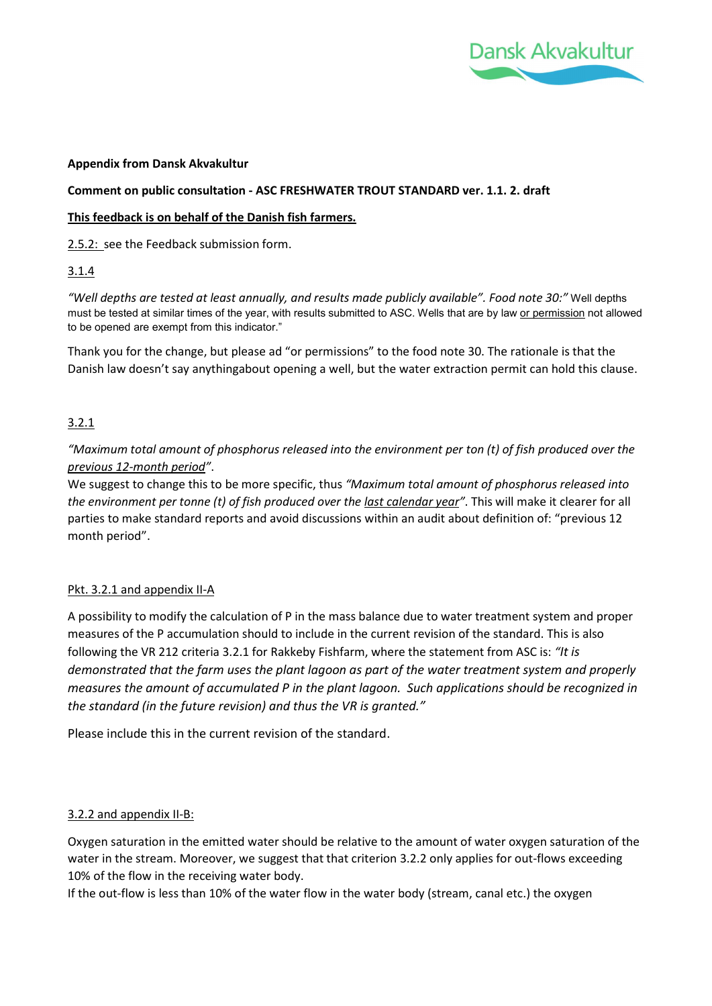

#### Appendix from Dansk Akvakultur

#### Comment on public consultation - ASC FRESHWATER TROUT STANDARD ver. 1.1. 2. draft

#### This feedback is on behalf of the Danish fish farmers.

2.5.2: see the Feedback submission form.

### 3.1.4

"Well depths are tested at least annually, and results made publicly available". Food note 30:" Well depths must be tested at similar times of the year, with results submitted to ASC. Wells that are by law or permission not allowed to be opened are exempt from this indicator."

Thank you for the change, but please ad "or permissions" to the food note 30. The rationale is that the Danish law doesn't say anythingabout opening a well, but the water extraction permit can hold this clause.

# 3.2.1

"Maximum total amount of phosphorus released into the environment per ton (t) of fish produced over the previous 12-month period".

We suggest to change this to be more specific, thus "Maximum total amount of phosphorus released into the environment per tonne (t) of fish produced over the last calendar year". This will make it clearer for all parties to make standard reports and avoid discussions within an audit about definition of: "previous 12 month period".

### Pkt. 3.2.1 and appendix II-A

A possibility to modify the calculation of P in the mass balance due to water treatment system and proper measures of the P accumulation should to include in the current revision of the standard. This is also following the VR 212 criteria 3.2.1 for Rakkeby Fishfarm, where the statement from ASC is: "It is demonstrated that the farm uses the plant lagoon as part of the water treatment system and properly measures the amount of accumulated P in the plant lagoon. Such applications should be recognized in the standard (in the future revision) and thus the VR is granted."

Please include this in the current revision of the standard.

### 3.2.2 and appendix II-B:

Oxygen saturation in the emitted water should be relative to the amount of water oxygen saturation of the water in the stream. Moreover, we suggest that that criterion 3.2.2 only applies for out-flows exceeding 10% of the flow in the receiving water body.

If the out-flow is less than 10% of the water flow in the water body (stream, canal etc.) the oxygen